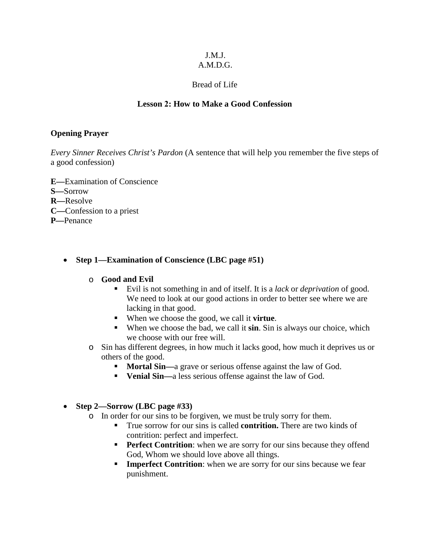#### J.M.J. A.M.D.G.

# Bread of Life

## **Lesson 2: How to Make a Good Confession**

## **Opening Prayer**

*Every Sinner Receives Christ's Pardon* (A sentence that will help you remember the five steps of a good confession)

- **E—**Examination of Conscience **S—**Sorrow **R—**Resolve **C—**Confession to a priest **P—**Penance
	- **Step 1—Examination of Conscience (LBC page #51)**

## o **Good and Evil**

- Evil is not something in and of itself. It is a *lack* or *deprivation* of good. We need to look at our good actions in order to better see where we are lacking in that good.
- When we choose the good, we call it **virtue**.
- When we choose the bad, we call it **sin**. Sin is always our choice, which we choose with our free will.
- o Sin has different degrees, in how much it lacks good, how much it deprives us or others of the good.
	- **Mortal Sin—a grave or serious offense against the law of God.**
	- **Venial Sin—a** less serious offense against the law of God.
- **Step 2—Sorrow (LBC page #33)**
	- o In order for our sins to be forgiven, we must be truly sorry for them.
		- True sorrow for our sins is called **contrition.** There are two kinds of contrition: perfect and imperfect.
		- **Perfect Contrition:** when we are sorry for our sins because they offend God, Whom we should love above all things.
		- **Imperfect Contrition:** when we are sorry for our sins because we fear punishment.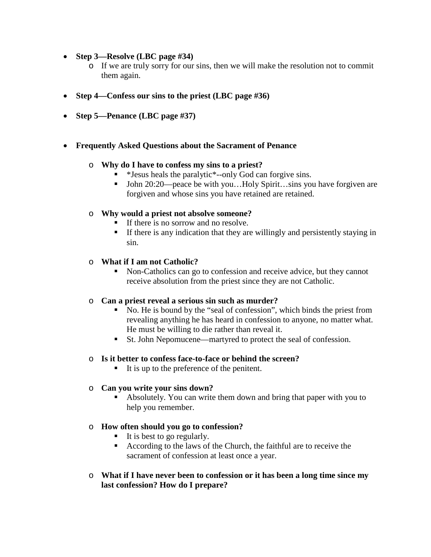- **Step 3—Resolve (LBC page #34)**
	- o If we are truly sorry for our sins, then we will make the resolution not to commit them again.
- **Step 4—Confess our sins to the priest (LBC page #36)**
- **Step 5—Penance (LBC page #37)**
- **Frequently Asked Questions about the Sacrament of Penance**

## o **Why do I have to confess my sins to a priest?**

- \*Jesus heals the paralytic\*--only God can forgive sins.
- John 20:20—peace be with you...Holy Spirit...sins you have forgiven are forgiven and whose sins you have retained are retained.

## o **Why would a priest not absolve someone?**

- If there is no sorrow and no resolve.
- If there is any indication that they are willingly and persistently staying in sin.

### o **What if I am not Catholic?**

 Non-Catholics can go to confession and receive advice, but they cannot receive absolution from the priest since they are not Catholic.

# o **Can a priest reveal a serious sin such as murder?**

- No. He is bound by the "seal of confession", which binds the priest from revealing anything he has heard in confession to anyone, no matter what. He must be willing to die rather than reveal it.
- St. John Nepomucene—martyred to protect the seal of confession.

### o **Is it better to confess face-to-face or behind the screen?**

It is up to the preference of the penitent.

### o **Can you write your sins down?**

 Absolutely. You can write them down and bring that paper with you to help you remember.

### o **How often should you go to confession?**

- $\blacksquare$  It is best to go regularly.
- According to the laws of the Church, the faithful are to receive the sacrament of confession at least once a year.
- o **What if I have never been to confession or it has been a long time since my last confession? How do I prepare?**